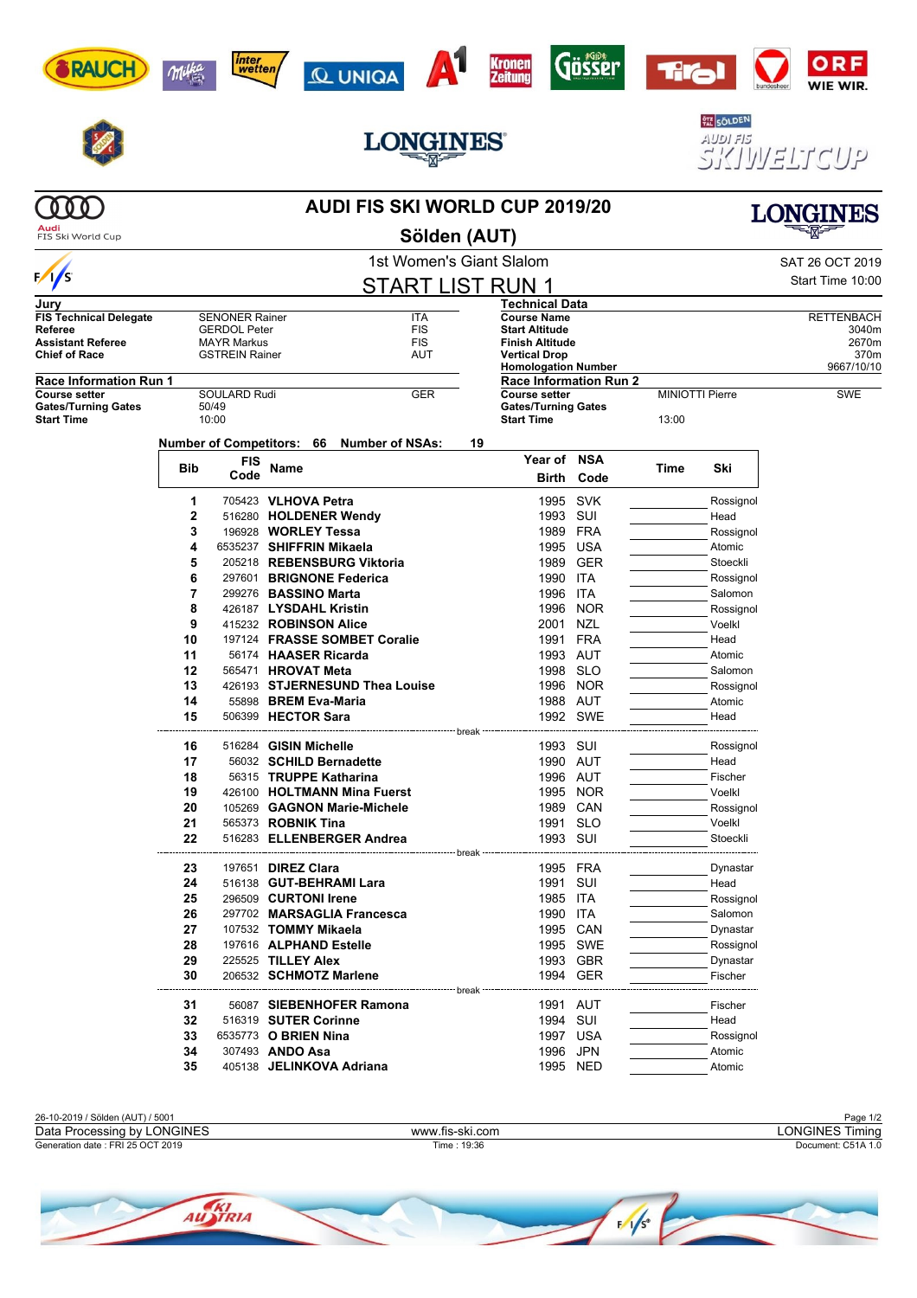|                                                                                               |                | LONGINES                                                                                                                                     |                           |                                                            |       |                                                                                                                                               |            |       | <b>PAL SÖLDEN</b><br>בוב והחד<br>SKIWELTCUP        |                  |  |  |
|-----------------------------------------------------------------------------------------------|----------------|----------------------------------------------------------------------------------------------------------------------------------------------|---------------------------|------------------------------------------------------------|-------|-----------------------------------------------------------------------------------------------------------------------------------------------|------------|-------|----------------------------------------------------|------------------|--|--|
|                                                                                               |                |                                                                                                                                              |                           | <b>AUDI FIS SKI WORLD CUP 2019/20</b>                      |       |                                                                                                                                               |            |       | <b>LONGINES</b>                                    |                  |  |  |
| Audi<br>FIS Ski World Cup                                                                     |                |                                                                                                                                              |                           | Sölden (AUT)                                               |       |                                                                                                                                               |            |       |                                                    |                  |  |  |
|                                                                                               |                |                                                                                                                                              |                           | 1st Women's Giant Slalom                                   |       |                                                                                                                                               |            |       |                                                    | SAT 26 OCT 2019  |  |  |
| $\sqrt{1/5}$                                                                                  |                |                                                                                                                                              |                           | <b>START LIST RUN 1</b>                                    |       |                                                                                                                                               |            |       |                                                    | Start Time 10:00 |  |  |
| Jury<br>FIS Technical Delegate<br>Referee<br><b>Assistant Referee</b><br><b>Chief of Race</b> |                | <b>SENONER Rainer</b><br><b>ITA</b><br><b>GERDOL Peter</b><br><b>FIS</b><br><b>MAYR Markus</b><br><b>FIS</b><br><b>GSTREIN Rainer</b><br>AUT |                           |                                                            |       | Technical Data<br><b>Course Name</b><br><b>Start Altitude</b><br><b>Finish Altitude</b><br><b>Vertical Drop</b><br><b>Homologation Number</b> |            |       | RETTENBACH<br>3040m<br>2670m<br>370m<br>9667/10/10 |                  |  |  |
| Race Information Run 1<br><b>Course setter</b>                                                |                | <b>SOULARD Rudi</b>                                                                                                                          |                           | <b>GER</b>                                                 |       | <b>Race Information Run 2</b><br><b>Course setter</b>                                                                                         |            |       | <b>MINIOTTI Pierre</b>                             | <b>SWE</b>       |  |  |
| <b>Gates/Turning Gates</b><br><b>Start Time</b>                                               |                | 50/49<br>10:00                                                                                                                               |                           |                                                            |       | <b>Gates/Turning Gates</b><br><b>Start Time</b>                                                                                               |            | 13:00 |                                                    |                  |  |  |
|                                                                                               | Bib            | <b>Number of Competitors: 66</b><br><b>FIS</b><br>Code                                                                                       | Name                      | <b>Number of NSAs:</b>                                     | 19    | Year of NSA<br>Birth                                                                                                                          | Code       | Time  | Ski                                                |                  |  |  |
|                                                                                               | 1              |                                                                                                                                              | 705423 VLHOVA Petra       |                                                            |       | 1995                                                                                                                                          | <b>SVK</b> |       | Rossignol                                          |                  |  |  |
|                                                                                               | $\mathbf 2$    |                                                                                                                                              |                           | 516280 HOLDENER Wendy                                      |       | 1993 SUI                                                                                                                                      |            |       | Head                                               |                  |  |  |
|                                                                                               | 3              |                                                                                                                                              | 196928 WORLEY Tessa       |                                                            |       | 1989 FRA                                                                                                                                      |            |       | Rossignol                                          |                  |  |  |
|                                                                                               | 4              |                                                                                                                                              | 6535237 SHIFFRIN Mikaela  |                                                            |       | 1995 USA                                                                                                                                      |            |       | Atomic                                             |                  |  |  |
|                                                                                               | 5              |                                                                                                                                              |                           | 205218 REBENSBURG Viktoria                                 |       |                                                                                                                                               | 1989 GER   |       | Stoeckli                                           |                  |  |  |
|                                                                                               | 6              |                                                                                                                                              |                           | 297601 BRIGNONE Federica                                   |       | 1990 ITA                                                                                                                                      |            |       | Rossignol                                          |                  |  |  |
|                                                                                               | $\overline{7}$ |                                                                                                                                              | 299276 BASSINO Marta      |                                                            |       | 1996                                                                                                                                          | ITA        |       | Salomon                                            |                  |  |  |
|                                                                                               | 8              |                                                                                                                                              | 426187 LYSDAHL Kristin    |                                                            |       | 1996                                                                                                                                          | NOR        |       | Rossignol                                          |                  |  |  |
|                                                                                               | 9              |                                                                                                                                              | 415232 ROBINSON Alice     |                                                            |       | 2001 NZL                                                                                                                                      |            |       | Voelkl                                             |                  |  |  |
|                                                                                               | 10             |                                                                                                                                              |                           | 197124 FRASSE SOMBET Coralie                               |       | 1991                                                                                                                                          | FRA        |       | Head                                               |                  |  |  |
|                                                                                               | 11             |                                                                                                                                              | 56174 HAASER Ricarda      |                                                            |       | 1993 AUT                                                                                                                                      |            |       | Atomic                                             |                  |  |  |
|                                                                                               | 12             |                                                                                                                                              | 565471 <b>HROVAT Meta</b> |                                                            |       | 1998 SLO                                                                                                                                      |            |       | Salomon                                            |                  |  |  |
|                                                                                               | 13             |                                                                                                                                              |                           | 426193 STJERNESUND Thea Louise                             |       | 1996                                                                                                                                          | NOR        |       | Rossignol                                          |                  |  |  |
|                                                                                               | 14             |                                                                                                                                              | 55898 BREM Eva-Maria      |                                                            |       | 1988 AUT                                                                                                                                      |            |       | Atomic                                             |                  |  |  |
|                                                                                               | 15             |                                                                                                                                              | 506399 HECTOR Sara        |                                                            | break |                                                                                                                                               | 1992 SWE   |       | Head                                               |                  |  |  |
|                                                                                               | 16             |                                                                                                                                              | 516284 GISIN Michelle     |                                                            |       | 1993 SUI                                                                                                                                      |            |       | Rossignol                                          |                  |  |  |
|                                                                                               | 17             |                                                                                                                                              |                           | 56032 SCHILD Bernadette                                    |       | 1990                                                                                                                                          | AUT        |       | Head                                               |                  |  |  |
|                                                                                               | 18             |                                                                                                                                              |                           | 56315 TRUPPE Katharina                                     |       | 1996 AUT                                                                                                                                      |            |       | Fischer                                            |                  |  |  |
|                                                                                               | 19             |                                                                                                                                              |                           | 426100 HOLTMANN Mina Fuerst                                |       |                                                                                                                                               | 1995 NOR   |       | Voelkl                                             |                  |  |  |
|                                                                                               | 20             |                                                                                                                                              |                           | 105269 GAGNON Marie-Michele                                |       |                                                                                                                                               | 1989 CAN   |       | Rossignol                                          |                  |  |  |
|                                                                                               | 21             |                                                                                                                                              | 565373 ROBNIK Tina        |                                                            |       | 1991                                                                                                                                          | <b>SLO</b> |       | Voelkl                                             |                  |  |  |
|                                                                                               | 22             |                                                                                                                                              |                           | 516283 ELLENBERGER Andrea                                  |       | 1993 SUI<br>------------                                                                                                                      |            |       | Stoeckli                                           |                  |  |  |
|                                                                                               | 23             |                                                                                                                                              | 197651 <b>DIREZ Clara</b> |                                                            |       | 1995 FRA                                                                                                                                      |            |       | Dynastar                                           |                  |  |  |
|                                                                                               | 24             |                                                                                                                                              |                           | 516138 GUT-BEHRAMI Lara                                    |       | 1991 SUI                                                                                                                                      |            |       | Head                                               |                  |  |  |
|                                                                                               | 25             |                                                                                                                                              | 296509 CURTONI Irene      |                                                            |       | 1985 ITA                                                                                                                                      |            |       | Rossignol                                          |                  |  |  |
|                                                                                               | 26             |                                                                                                                                              |                           | 297702 MARSAGLIA Francesca                                 |       | 1990 ITA                                                                                                                                      |            |       | Salomon                                            |                  |  |  |
|                                                                                               | 27             |                                                                                                                                              | 107532 TOMMY Mikaela      |                                                            |       |                                                                                                                                               | 1995 CAN   |       | Dynastar                                           |                  |  |  |
|                                                                                               | 28             |                                                                                                                                              | 197616 ALPHAND Estelle    |                                                            |       |                                                                                                                                               | 1995 SWE   |       | Rossignol                                          |                  |  |  |
|                                                                                               | 29             |                                                                                                                                              | 225525 TILLEY Alex        |                                                            |       |                                                                                                                                               | 1993 GBR   |       | Dynastar                                           |                  |  |  |
|                                                                                               | 30             |                                                                                                                                              |                           | 206532 SCHMOTZ Marlene<br>-------------------------- hreak |       |                                                                                                                                               | 1994 GER   |       | Fischer                                            |                  |  |  |

**Kronen<br>Zeitung** 

Q UNIQA

 $\frac{inter}{wetten}$ 

muka

**SRAUCH** 

Gösser Tigl ORF

| 30<br>1994 GER<br>206532 SCHMOTZ Marlene<br>Fischer<br>break<br>31<br>56087 SIEBENHOFER Ramona<br>1991 AUT<br>Fischer<br>32<br>516319 SUTER Corinne<br>1994 SUI<br>Head<br>33<br>6535773 O BRIEN Nina<br>1997 USA<br>Rossignol<br>34<br>307493 ANDO Asa<br>1996 JPN<br>Atomic<br>35<br>405138 JELINKOVA Adriana<br>1995 NED<br>Atomic | -- | <i>LL</i> UULU TILLLI AIGA | יוש שטו | Dynastar |
|---------------------------------------------------------------------------------------------------------------------------------------------------------------------------------------------------------------------------------------------------------------------------------------------------------------------------------------|----|----------------------------|---------|----------|
|                                                                                                                                                                                                                                                                                                                                       |    |                            |         |          |
|                                                                                                                                                                                                                                                                                                                                       |    |                            |         |          |
|                                                                                                                                                                                                                                                                                                                                       |    |                            |         |          |
|                                                                                                                                                                                                                                                                                                                                       |    |                            |         |          |
|                                                                                                                                                                                                                                                                                                                                       |    |                            |         |          |
|                                                                                                                                                                                                                                                                                                                                       |    |                            |         |          |
|                                                                                                                                                                                                                                                                                                                                       |    |                            |         |          |